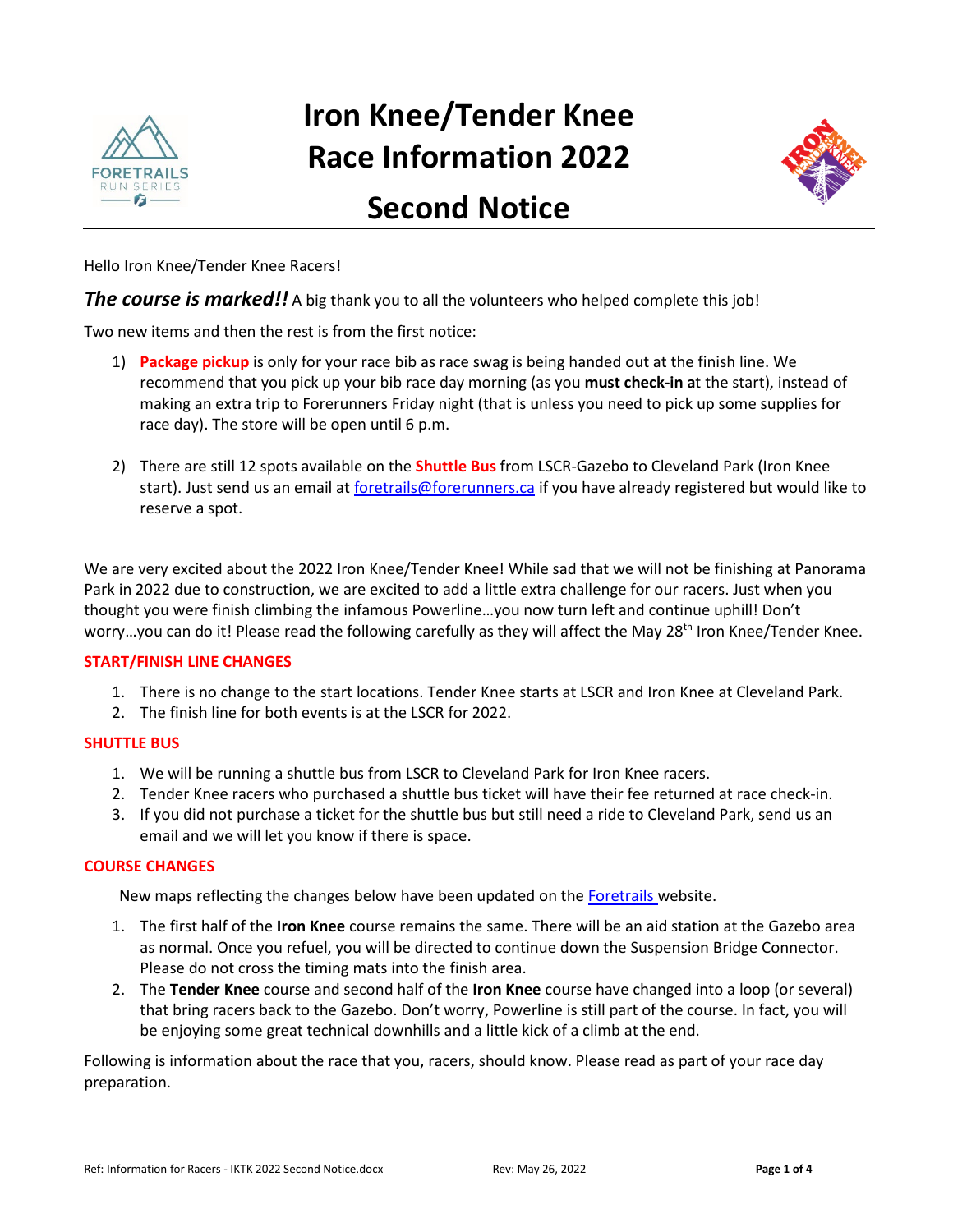

# **Iron Knee/Tender Knee Race Information 2022**



# **Second Notice**

Hello Iron Knee/Tender Knee Racers!

**The course is marked!!** A big thank you to all the volunteers who helped complete this job!

Two new items and then the rest is from the first notice:

- 1) **Package pickup** is only for your race bib as race swag is being handed out at the finish line. We recommend that you pick up your bib race day morning (as you **must check-in a**t the start), instead of making an extra trip to Forerunners Friday night (that is unless you need to pick up some supplies for race day). The store will be open until 6 p.m.
- 2) There are still 12 spots available on the **Shuttle Bus** from LSCR-Gazebo to Cleveland Park (Iron Knee start). Just send us an email a[t foretrails@forerunners.ca](mailto:foretrails@forerunners.ca) if you have already registered but would like to reserve a spot.

We are very excited about the 2022 Iron Knee/Tender Knee! While sad that we will not be finishing at Panorama Park in 2022 due to construction, we are excited to add a little extra challenge for our racers. Just when you thought you were finish climbing the infamous Powerline…you now turn left and continue uphill! Don't worry...you can do it! Please read the following carefully as they will affect the May 28<sup>th</sup> Iron Knee/Tender Knee.

#### **START/FINISH LINE CHANGES**

- 1. There is no change to the start locations. Tender Knee starts at LSCR and Iron Knee at Cleveland Park.
- 2. The finish line for both events is at the LSCR for 2022.

#### **SHUTTLE BUS**

- 1. We will be running a shuttle bus from LSCR to Cleveland Park for Iron Knee racers.
- 2. Tender Knee racers who purchased a shuttle bus ticket will have their fee returned at race check-in.
- 3. If you did not purchase a ticket for the shuttle bus but still need a ride to Cleveland Park, send us an email and we will let you know if there is space.

#### **COURSE CHANGES**

New maps reflecting the changes below have been updated on the [Foretrails w](https://foretrails.com/iron-knee-tender-knee/)ebsite.

- 1. The first half of the **Iron Knee** course remains the same. There will be an aid station at the Gazebo area as normal. Once you refuel, you will be directed to continue down the Suspension Bridge Connector. Please do not cross the timing mats into the finish area.
- 2. The **Tender Knee** course and second half of the **Iron Knee** course have changed into a loop (or several) that bring racers back to the Gazebo. Don't worry, Powerline is still part of the course. In fact, you will be enjoying some great technical downhills and a little kick of a climb at the end.

Following is information about the race that you, racers, should know. Please read as part of your race day preparation.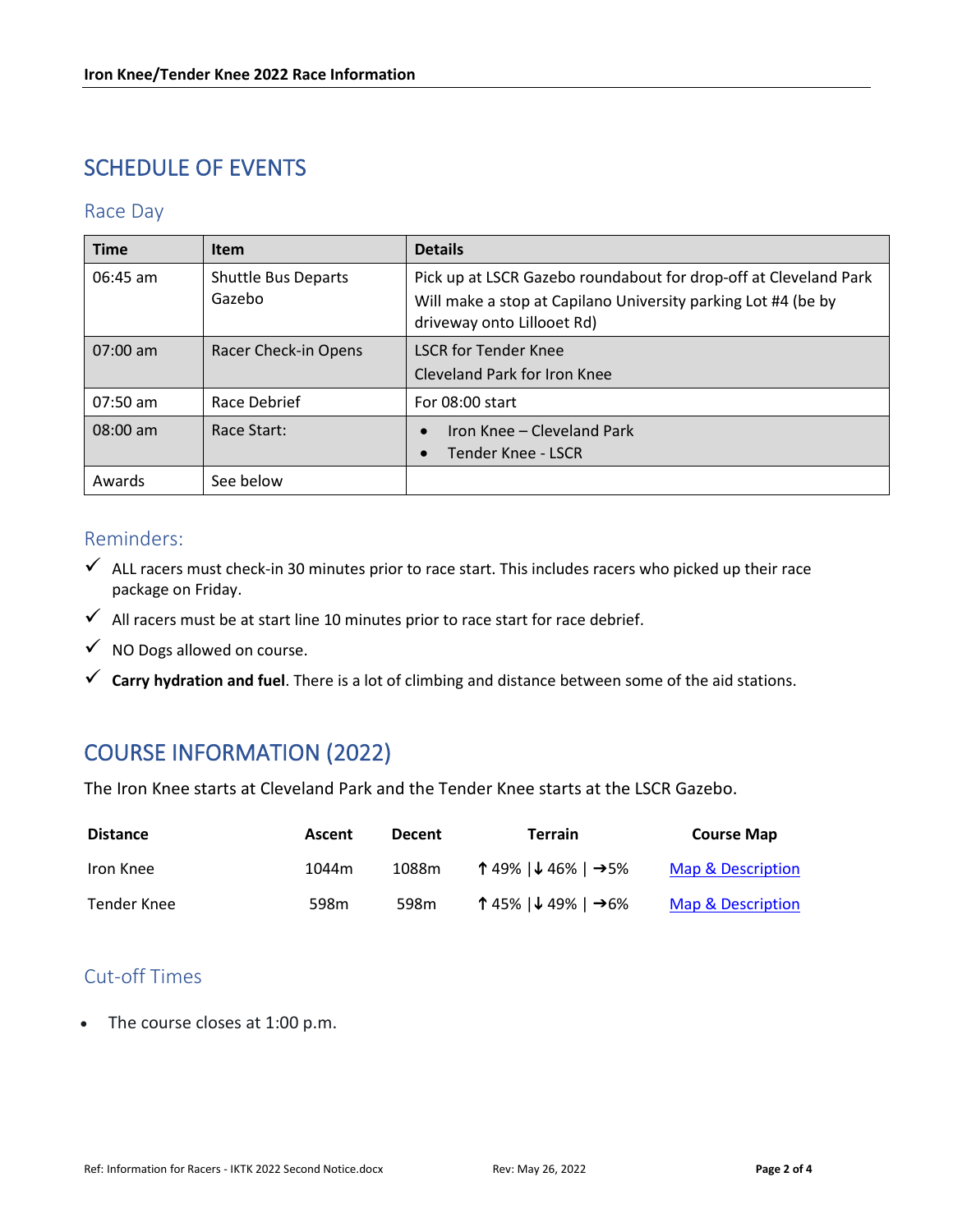# SCHEDULE OF EVENTS

#### Race Day

| <b>Time</b>        | <b>Item</b>                          | <b>Details</b>                                                                                                                                                  |  |  |
|--------------------|--------------------------------------|-----------------------------------------------------------------------------------------------------------------------------------------------------------------|--|--|
| $06:45$ am         | <b>Shuttle Bus Departs</b><br>Gazebo | Pick up at LSCR Gazebo roundabout for drop-off at Cleveland Park<br>Will make a stop at Capilano University parking Lot #4 (be by<br>driveway onto Lillooet Rd) |  |  |
| $07:00$ am         | Racer Check-in Opens                 | <b>LSCR for Tender Knee</b><br>Cleveland Park for Iron Knee                                                                                                     |  |  |
| 07:50 am           | Race Debrief                         | For 08:00 start                                                                                                                                                 |  |  |
| $08:00 \text{ am}$ | Race Start:                          | Iron Knee - Cleveland Park<br>$\bullet$<br><b>Tender Knee - LSCR</b><br>$\bullet$                                                                               |  |  |
| Awards             | See below                            |                                                                                                                                                                 |  |  |

#### Reminders:

- $\checkmark$  ALL racers must check-in 30 minutes prior to race start. This includes racers who picked up their race package on Friday.
- $\checkmark$  All racers must be at start line 10 minutes prior to race start for race debrief.
- $\checkmark$  NO Dogs allowed on course.
- **Carry hydration and fuel**. There is a lot of climbing and distance between some of the aid stations.

# COURSE INFORMATION (2022)

The Iron Knee starts at Cleveland Park and the Tender Knee starts at the LSCR Gazebo.

| <b>Distance</b> | Ascent | <b>Decent</b> | Terrain                                             | <b>Course Map</b> |
|-----------------|--------|---------------|-----------------------------------------------------|-------------------|
| Iron Knee       | 1044m  | 1088m         | ↑ 49% $\vert \downarrow$ 46% $\vert \rightarrow$ 5% | Map & Description |
| Tender Knee     | 598m   | 598m          | ↑45% $\sqrt{49\%}$   →6%                            | Map & Description |

### Cut-off Times

• The course closes at 1:00 p.m.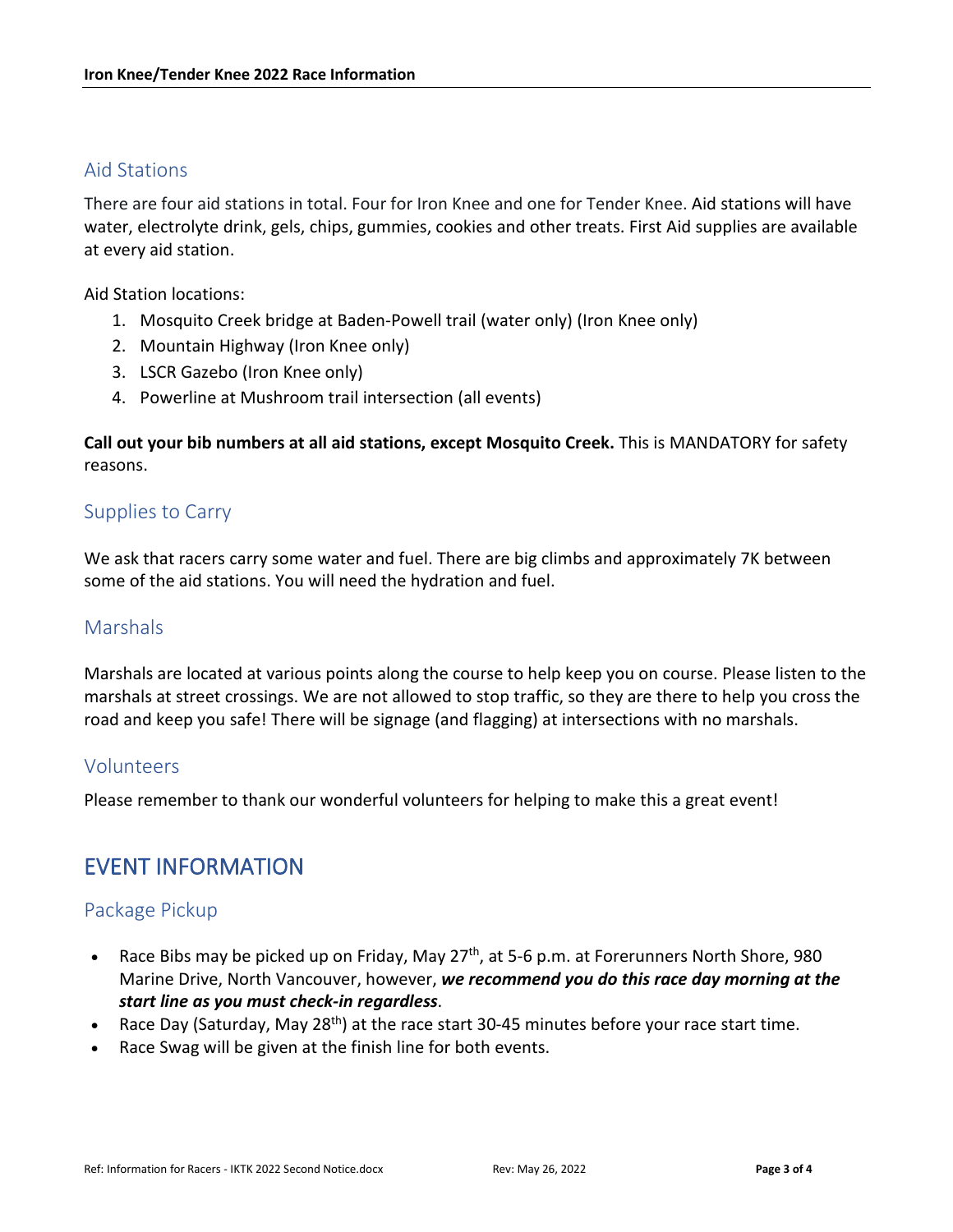#### Aid Stations

There are four aid stations in total. Four for Iron Knee and one for Tender Knee. Aid stations will have water, electrolyte drink, gels, chips, gummies, cookies and other treats. First Aid supplies are available at every aid station.

Aid Station locations:

- 1. Mosquito Creek bridge at Baden-Powell trail (water only) (Iron Knee only)
- 2. Mountain Highway (Iron Knee only)
- 3. LSCR Gazebo (Iron Knee only)
- 4. Powerline at Mushroom trail intersection (all events)

**Call out your bib numbers at all aid stations, except Mosquito Creek.** This is MANDATORY for safety reasons.

#### Supplies to Carry

We ask that racers carry some water and fuel. There are big climbs and approximately 7K between some of the aid stations. You will need the hydration and fuel.

#### **Marshals**

Marshals are located at various points along the course to help keep you on course. Please listen to the marshals at street crossings. We are not allowed to stop traffic, so they are there to help you cross the road and keep you safe! There will be signage (and flagging) at intersections with no marshals.

#### Volunteers

Please remember to thank our wonderful volunteers for helping to make this a great event!

## EVENT INFORMATION

#### Package Pickup

- Race Bibs may be picked up on Friday, May 27<sup>th</sup>, at 5-6 p.m. at Forerunners North Shore, 980 Marine Drive, North Vancouver, however, *we recommend you do this race day morning at the start line as you must check-in regardless*.
- Race Day (Saturday, May 28<sup>th</sup>) at the race start 30-45 minutes before your race start time.
- Race Swag will be given at the finish line for both events.